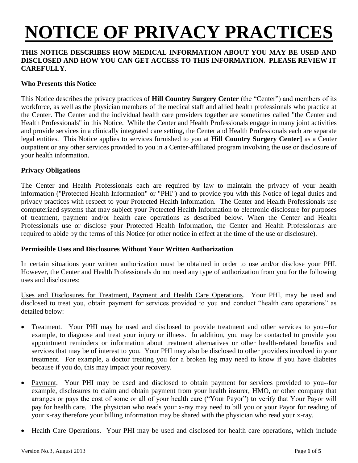# **NOTICE OF PRIVACY PRACTICES**

### **THIS NOTICE DESCRIBES HOW MEDICAL INFORMATION ABOUT YOU MAY BE USED AND DISCLOSED AND HOW YOU CAN GET ACCESS TO THIS INFORMATION. PLEASE REVIEW IT CAREFULLY**.

### **Who Presents this Notice**

This Notice describes the privacy practices of **Hill Country Surgery Center** (the "Center") and members of its workforce, as well as the physician members of the medical staff and allied health professionals who practice at the Center. The Center and the individual health care providers together are sometimes called "the Center and Health Professionals" in this Notice. While the Center and Health Professionals engage in many joint activities and provide services in a clinically integrated care setting, the Center and Health Professionals each are separate legal entities. This Notice applies to services furnished to you at **Hill Country Surgery Center]** as a Center outpatient or any other services provided to you in a Center-affiliated program involving the use or disclosure of your health information.

#### **Privacy Obligations**

The Center and Health Professionals each are required by law to maintain the privacy of your health information ("Protected Health Information" or "PHI") and to provide you with this Notice of legal duties and privacy practices with respect to your Protected Health Information. The Center and Health Professionals use computerized systems that may subject your Protected Health Information to electronic disclosure for purposes of treatment, payment and/or health care operations as described below. When the Center and Health Professionals use or disclose your Protected Health Information, the Center and Health Professionals are required to abide by the terms of this Notice (or other notice in effect at the time of the use or disclosure).

#### **Permissible Uses and Disclosures Without Your Written Authorization**

In certain situations your written authorization must be obtained in order to use and/or disclose your PHI. However, the Center and Health Professionals do not need any type of authorization from you for the following uses and disclosures:

Uses and Disclosures for Treatment, Payment and Health Care Operations. Your PHI, may be used and disclosed to treat you, obtain payment for services provided to you and conduct "health care operations" as detailed below:

- Treatment. Your PHI may be used and disclosed to provide treatment and other services to you--for example, to diagnose and treat your injury or illness. In addition, you may be contacted to provide you appointment reminders or information about treatment alternatives or other health-related benefits and services that may be of interest to you. Your PHI may also be disclosed to other providers involved in your treatment. For example, a doctor treating you for a broken leg may need to know if you have diabetes because if you do, this may impact your recovery.
- Payment. Your PHI may be used and disclosed to obtain payment for services provided to you--for example, disclosures to claim and obtain payment from your health insurer, HMO, or other company that arranges or pays the cost of some or all of your health care ("Your Payor") to verify that Your Payor will pay for health care. The physician who reads your x-ray may need to bill you or your Payor for reading of your x-ray therefore your billing information may be shared with the physician who read your x-ray.
- Health Care Operations. Your PHI may be used and disclosed for health care operations, which include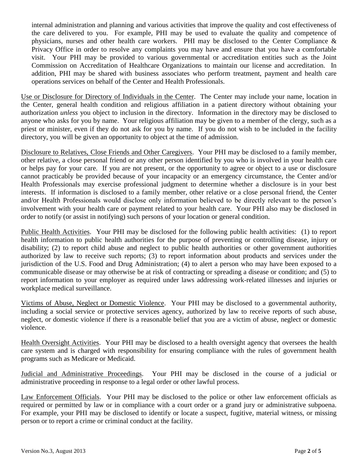internal administration and planning and various activities that improve the quality and cost effectiveness of the care delivered to you. For example, PHI may be used to evaluate the quality and competence of physicians, nurses and other health care workers. PHI may be disclosed to the Center Compliance & Privacy Office in order to resolve any complaints you may have and ensure that you have a comfortable visit. Your PHI may be provided to various governmental or accreditation entities such as the Joint Commission on Accreditation of Healthcare Organizations to maintain our license and accreditation. In addition, PHI may be shared with business associates who perform treatment, payment and health care operations services on behalf of the Center and Health Professionals.

Use or Disclosure for Directory of Individuals in the Center. The Center may include your name, location in the Center, general health condition and religious affiliation in a patient directory without obtaining your authorization *unless* you object to inclusion in the directory. Information in the directory may be disclosed to anyone who asks for you by name. Your religious affiliation may be given to a member of the clergy, such as a priest or minister, even if they do not ask for you by name. If you do not wish to be included in the facility directory, you will be given an opportunity to object at the time of admission.

Disclosure to Relatives, Close Friends and Other Caregivers. Your PHI may be disclosed to a family member, other relative, a close personal friend or any other person identified by you who is involved in your health care or helps pay for your care. If you are not present, or the opportunity to agree or object to a use or disclosure cannot practicably be provided because of your incapacity or an emergency circumstance, the Center and/or Health Professionals may exercise professional judgment to determine whether a disclosure is in your best interests. If information is disclosed to a family member, other relative or a close personal friend, the Center and/or Health Professionals would disclose only information believed to be directly relevant to the person's involvement with your health care or payment related to your health care. Your PHI also may be disclosed in order to notify (or assist in notifying) such persons of your location or general condition.

Public Health Activities. Your PHI may be disclosed for the following public health activities: (1) to report health information to public health authorities for the purpose of preventing or controlling disease, injury or disability; (2) to report child abuse and neglect to public health authorities or other government authorities authorized by law to receive such reports; (3) to report information about products and services under the jurisdiction of the U.S. Food and Drug Administration; (4) to alert a person who may have been exposed to a communicable disease or may otherwise be at risk of contracting or spreading a disease or condition; and (5) to report information to your employer as required under laws addressing work-related illnesses and injuries or workplace medical surveillance.

Victims of Abuse, Neglect or Domestic Violence. Your PHI may be disclosed to a governmental authority, including a social service or protective services agency, authorized by law to receive reports of such abuse, neglect, or domestic violence if there is a reasonable belief that you are a victim of abuse, neglect or domestic violence.

Health Oversight Activities. Your PHI may be disclosed to a health oversight agency that oversees the health care system and is charged with responsibility for ensuring compliance with the rules of government health programs such as Medicare or Medicaid.

Judicial and Administrative Proceedings. Your PHI may be disclosed in the course of a judicial or administrative proceeding in response to a legal order or other lawful process.

Law Enforcement Officials. Your PHI may be disclosed to the police or other law enforcement officials as required or permitted by law or in compliance with a court order or a grand jury or administrative subpoena. For example, your PHI may be disclosed to identify or locate a suspect, fugitive, material witness, or missing person or to report a crime or criminal conduct at the facility.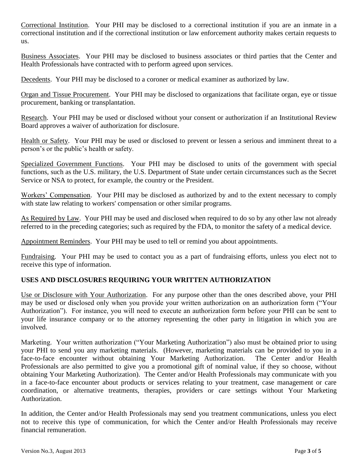Correctional Institution. Your PHI may be disclosed to a correctional institution if you are an inmate in a correctional institution and if the correctional institution or law enforcement authority makes certain requests to us.

Business Associates. Your PHI may be disclosed to business associates or third parties that the Center and Health Professionals have contracted with to perform agreed upon services.

Decedents. Your PHI may be disclosed to a coroner or medical examiner as authorized by law.

Organ and Tissue Procurement. Your PHI may be disclosed to organizations that facilitate organ, eye or tissue procurement, banking or transplantation.

Research. Your PHI may be used or disclosed without your consent or authorization if an Institutional Review Board approves a waiver of authorization for disclosure.

Health or Safety. Your PHI may be used or disclosed to prevent or lessen a serious and imminent threat to a person's or the public's health or safety.

Specialized Government Functions. Your PHI may be disclosed to units of the government with special functions, such as the U.S. military, the U.S. Department of State under certain circumstances such as the Secret Service or NSA to protect, for example, the country or the President.

Workers' Compensation. Your PHI may be disclosed as authorized by and to the extent necessary to comply with state law relating to workers' compensation or other similar programs.

As Required by Law. Your PHI may be used and disclosed when required to do so by any other law not already referred to in the preceding categories; such as required by the FDA, to monitor the safety of a medical device.

Appointment Reminders. Your PHI may be used to tell or remind you about appointments.

Fundraising. Your PHI may be used to contact you as a part of fundraising efforts, unless you elect not to receive this type of information.

## **USES AND DISCLOSURES REQUIRING YOUR WRITTEN AUTHORIZATION**

Use or Disclosure with Your Authorization. For any purpose other than the ones described above, your PHI may be used or disclosed only when you provide your written authorization on an authorization form ("Your Authorization"). For instance, you will need to execute an authorization form before your PHI can be sent to your life insurance company or to the attorney representing the other party in litigation in which you are involved.

Marketing. Your written authorization ("Your Marketing Authorization") also must be obtained prior to using your PHI to send you any marketing materials. (However, marketing materials can be provided to you in a face-to-face encounter without obtaining Your Marketing Authorization. The Center and/or Health Professionals are also permitted to give you a promotional gift of nominal value, if they so choose, without obtaining Your Marketing Authorization). The Center and/or Health Professionals may communicate with you in a face-to-face encounter about products or services relating to your treatment, case management or care coordination, or alternative treatments, therapies, providers or care settings without Your Marketing Authorization.

In addition, the Center and/or Health Professionals may send you treatment communications, unless you elect not to receive this type of communication, for which the Center and/or Health Professionals may receive financial remuneration.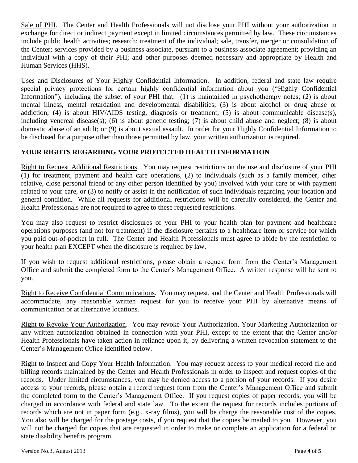Sale of PHI. The Center and Health Professionals will not disclose your PHI without your authorization in exchange for direct or indirect payment except in limited circumstances permitted by law. These circumstances include public health activities; research; treatment of the individual; sale, transfer, merger or consolidation of the Center; services provided by a business associate, pursuant to a business associate agreement; providing an individual with a copy of their PHI; and other purposes deemed necessary and appropriate by Health and Human Services (HHS).

Uses and Disclosures of Your Highly Confidential Information. In addition, federal and state law require special privacy protections for certain highly confidential information about you ("Highly Confidential Information"), including the subset of your PHI that: (1) is maintained in psychotherapy notes; (2) is about mental illness, mental retardation and developmental disabilities; (3) is about alcohol or drug abuse or addiction; (4) is about HIV/AIDS testing, diagnosis or treatment; (5) is about communicable disease(s), including venereal disease(s); (6) is about genetic testing; (7) is about child abuse and neglect; (8) is about domestic abuse of an adult; or (9) is about sexual assault.In order for your Highly Confidential Information to be disclosed for a purpose other than those permitted by law, your written authorization is required.

#### **YOUR RIGHTS REGARDING YOUR PROTECTED HEALTH INFORMATION**

Right to Request Additional Restrictions. You may request restrictions on the use and disclosure of your PHI (1) for treatment, payment and health care operations, (2) to individuals (such as a family member, other relative, close personal friend or any other person identified by you) involved with your care or with payment related to your care, or (3) to notify or assist in the notification of such individuals regarding your location and general condition. While all requests for additional restrictions will be carefully considered, the Center and Health Professionals are not required to agree to these requested restrictions.

You may also request to restrict disclosures of your PHI to your health plan for payment and healthcare operations purposes (and not for treatment) if the disclosure pertains to a healthcare item or service for which you paid out-of-pocket in full. The Center and Health Professionals must agree to abide by the restriction to your health plan EXCEPT when the disclosure is required by law.

If you wish to request additional restrictions, please obtain a request form from the Center's Management Office and submit the completed form to the Center's Management Office. A written response will be sent to you.

Right to Receive Confidential Communications. You may request, and the Center and Health Professionals will accommodate, any reasonable written request for you to receive your PHI by alternative means of communication or at alternative locations.

Right to Revoke Your Authorization. You may revoke Your Authorization, Your Marketing Authorization or any written authorization obtained in connection with your PHI, except to the extent that the Center and/or Health Professionals have taken action in reliance upon it, by delivering a written revocation statement to the Center's Management Office identified below.

Right to Inspect and Copy Your Health Information. You may request access to your medical record file and billing records maintained by the Center and Health Professionals in order to inspect and request copies of the records. Under limited circumstances, you may be denied access to a portion of your records. If you desire access to your records, please obtain a record request form from the Center's Management Office and submit the completed form to the Center's Management Office. If you request copies of paper records, you will be charged in accordance with federal and state law. To the extent the request for records includes portions of records which are not in paper form (e.g., x-ray films), you will be charge the reasonable cost of the copies. You also will be charged for the postage costs, if you request that the copies be mailed to you. However, you will not be charged for copies that are requested in order to make or complete an application for a federal or state disability benefits program.